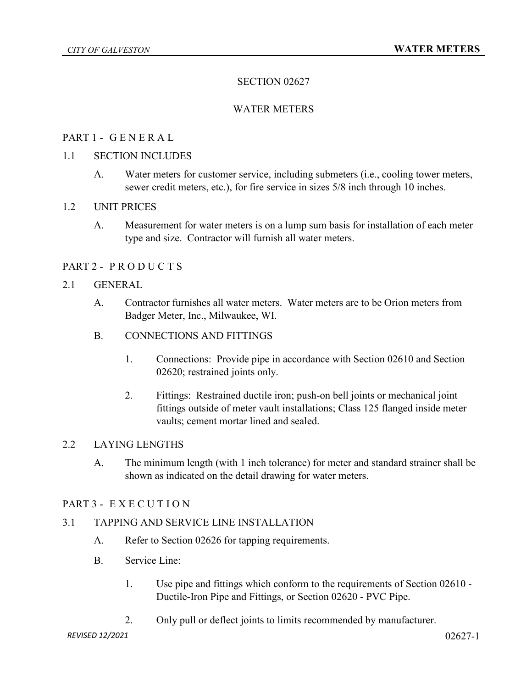# SECTION 02627

## WATER METERS

### PART 1 - G E N E R A L

#### 1.1 SECTION INCLUDES

A. Water meters for customer service, including submeters (i.e., cooling tower meters, sewer credit meters, etc.), for fire service in sizes 5/8 inch through 10 inches.

#### 1.2 UNIT PRICES

A. Measurement for water meters is on a lump sum basis for installation of each meter type and size. Contractor will furnish all water meters.

## PART 2 - P R O D U C T S

#### 2.1 GENERAL

- A. Contractor furnishes all water meters. Water meters are to be Orion meters from Badger Meter, Inc., Milwaukee, WI.
- B. CONNECTIONS AND FITTINGS
	- 1. Connections: Provide pipe in accordance with Section 02610 and Section 02620; restrained joints only.
	- 2. Fittings: Restrained ductile iron; push-on bell joints or mechanical joint fittings outside of meter vault installations; Class 125 flanged inside meter vaults; cement mortar lined and sealed.

## 2.2 LAYING LENGTHS

A. The minimum length (with 1 inch tolerance) for meter and standard strainer shall be shown as indicated on the detail drawing for water meters.

#### PART 3 - E X E C U T I O N

### 3.1 TAPPING AND SERVICE LINE INSTALLATION

- A. Refer to Section 02626 for tapping requirements.
- B. Service Line:
	- 1. Use pipe and fittings which conform to the requirements of Section 02610 Ductile-Iron Pipe and Fittings, or Section 02620 - PVC Pipe.
	- 2. Only pull or deflect joints to limits recommended by manufacturer.

*REVISED 12/2021* 02627-1